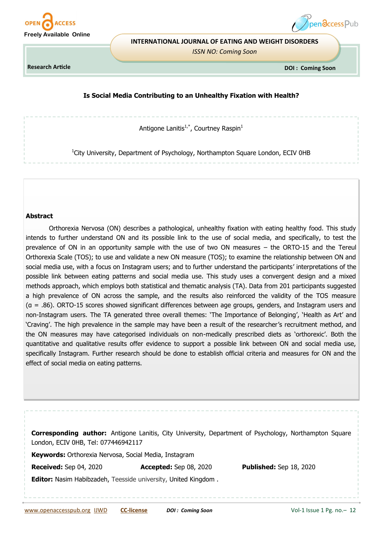



#### **INTERNATIONAL JOURNAL OF EATING AND WEIGHT DISORDERS**

*ISSN NO: Coming Soon*

**Research Article**

 **DOI : Coming Soon**

# **Is Social Media Contributing to an Unhealthy Fixation with Health?**

Antigone Lanitis<sup>1,\*</sup>, Courtney Raspin<sup>1</sup>

<sup>1</sup>City University, Department of Psychology, Northampton Square London, ECIV 0HB

#### **Abstract**

Orthorexia Nervosa (ON) describes a pathological, unhealthy fixation with eating healthy food. This study intends to further understand ON and its possible link to the use of social media, and specifically, to test the prevalence of ON in an opportunity sample with the use of two ON measures – the ORTO-15 and the Tereul Orthorexia Scale (TOS); to use and validate a new ON measure (TOS); to examine the relationship between ON and social media use, with a focus on Instagram users; and to further understand the participants' interpretations of the possible link between eating patterns and social media use. This study uses a convergent design and a mixed methods approach, which employs both statistical and thematic analysis (TA). Data from 201 participants suggested a high prevalence of ON across the sample, and the results also reinforced the validity of the TOS measure (α = .86). ORTO-15 scores showed significant differences between age groups, genders, and Instagram users and non-Instagram users. The TA generated three overall themes: 'The Importance of Belonging', 'Health as Art' and 'Craving'. The high prevalence in the sample may have been a result of the researcher's recruitment method, and the ON measures may have categorised individuals on non-medically prescribed diets as 'orthorexic'. Both the quantitative and qualitative results offer evidence to support a possible link between ON and social media use, specifically Instagram. Further research should be done to establish official criteria and measures for ON and the effect of social media on eating patterns.

**Corresponding author:** Antigone Lanitis, City University, Department of Psychology, Northampton Square London, ECIV 0HB, Tel: 077446942117

**Keywords:** Orthorexia Nervosa, Social Media, Instagram

**Received:** Sep 04, 2020 **Accepted:** Sep 08, 2020 **Published:** Sep 18, 2020

**Editor:** Nasim Habibzadeh, Teesside university, United Kingdom .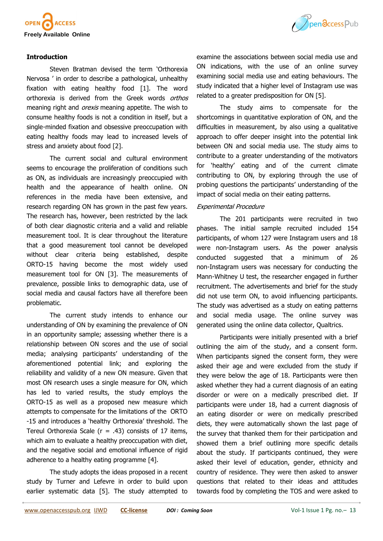

### **Introduction**

Steven Bratman devised the term 'Orthorexia Nervosa ' in order to describe a pathological, unhealthy fixation with eating healthy food [1]. The word orthorexia is derived from the Greek words orthos meaning right and *orexis* meaning appetite. The wish to consume healthy foods is not a condition in itself, but a single-minded fixation and obsessive preoccupation with eating healthy foods may lead to increased levels of stress and anxiety about food [2].

The current social and cultural environment seems to encourage the proliferation of conditions such as ON, as individuals are increasingly preoccupied with health and the appearance of health online. ON references in the media have been extensive, and research regarding ON has grown in the past few years. The research has, however, been restricted by the lack of both clear diagnostic criteria and a valid and reliable measurement tool. It is clear throughout the literature that a good measurement tool cannot be developed without clear criteria being established, despite ORTO-15 having become the most widely used measurement tool for ON [3]. The measurements of prevalence, possible links to demographic data, use of social media and causal factors have all therefore been problematic.

The current study intends to enhance our understanding of ON by examining the prevalence of ON in an opportunity sample; assessing whether there is a relationship between ON scores and the use of social media; analysing participants' understanding of the aforementioned potential link; and exploring the reliability and validity of a new ON measure. Given that most ON research uses a single measure for ON, which has led to varied results, the study employs the ORTO-15 as well as a proposed new measure which attempts to compensate for the limitations of the ORTO -15 and introduces a 'healthy Orthorexia' threshold. The Tereul Orthorexia Scale ( $r = .43$ ) consists of 17 items, which aim to evaluate a healthy preoccupation with diet, and the negative social and emotional influence of rigid adherence to a healthy eating programme [4].

The study adopts the ideas proposed in a recent study by Turner and Lefevre in order to build upon earlier systematic data [5]. The study attempted to



examine the associations between social media use and ON indications, with the use of an online survey examining social media use and eating behaviours. The study indicated that a higher level of Instagram use was related to a greater predisposition for ON [5].

The study aims to compensate for the shortcomings in quantitative exploration of ON, and the difficulties in measurement, by also using a qualitative approach to offer deeper insight into the potential link between ON and social media use. The study aims to contribute to a greater understanding of the motivators for 'healthy' eating and of the current climate contributing to ON, by exploring through the use of probing questions the participants' understanding of the impact of social media on their eating patterns.

#### Experimental Procedure

The 201 participants were recruited in two phases. The initial sample recruited included 154 participants, of whom 127 were Instagram users and 18 were non-Instagram users. As the power analysis conducted suggested that a minimum of 26 non-Instagram users was necessary for conducting the Mann-Whitney U test, the researcher engaged in further recruitment. The advertisements and brief for the study did not use term ON, to avoid influencing participants. The study was advertised as a study on eating patterns and social media usage. The online survey was generated using the online data collector, Qualtrics.

Participants were initially presented with a brief outlining the aim of the study, and a consent form. When participants signed the consent form, they were asked their age and were excluded from the study if they were below the age of 18. Participants were then asked whether they had a current diagnosis of an eating disorder or were on a medically prescribed diet. If participants were under 18, had a current diagnosis of an eating disorder or were on medically prescribed diets, they were automatically shown the last page of the survey that thanked them for their participation and showed them a brief outlining more specific details about the study. If participants continued, they were asked their level of education, gender, ethnicity and country of residence. They were then asked to answer questions that related to their ideas and attitudes towards food by completing the TOS and were asked to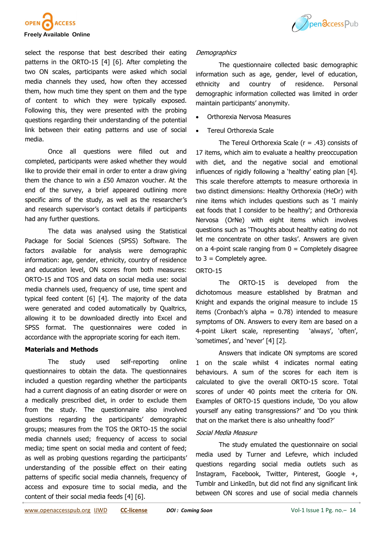



select the response that best described their eating patterns in the ORTO-15 [4] [6]. After completing the two ON scales, participants were asked which social media channels they used, how often they accessed them, how much time they spent on them and the type of content to which they were typically exposed. Following this, they were presented with the probing questions regarding their understanding of the potential link between their eating patterns and use of social media.

Once all questions were filled out and completed, participants were asked whether they would like to provide their email in order to enter a draw giving them the chance to win a £50 Amazon voucher. At the end of the survey, a brief appeared outlining more specific aims of the study, as well as the researcher's and research supervisor's contact details if participants had any further questions.

The data was analysed using the Statistical Package for Social Sciences (SPSS) Software. The factors available for analysis were demographic information: age, gender, ethnicity, country of residence and education level, ON scores from both measures: ORTO-15 and TOS and data on social media use: social media channels used, frequency of use, time spent and typical feed content [6] [4]. The majority of the data were generated and coded automatically by Qualtrics, allowing it to be downloaded directly into Excel and SPSS format. The questionnaires were coded in accordance with the appropriate scoring for each item.

#### **Materials and Methods**

The study used self-reporting online questionnaires to obtain the data. The questionnaires included a question regarding whether the participants had a current diagnosis of an eating disorder or were on a medically prescribed diet, in order to exclude them from the study. The questionnaire also involved questions regarding the participants' demographic groups; measures from the TOS the ORTO-15 the social media channels used; frequency of access to social media; time spent on social media and content of feed; as well as probing questions regarding the participants' understanding of the possible effect on their eating patterns of specific social media channels, frequency of access and exposure time to social media, and the content of their social media feeds [4] [6].

### **Demographics**

The questionnaire collected basic demographic information such as age, gender, level of education, ethnicity and country of residence. Personal demographic information collected was limited in order maintain participants' anonymity.

- Orthorexia Nervosa Measures
- Tereul Orthorexia Scale

The Tereul Orthorexia Scale ( $r = .43$ ) consists of 17 items, which aim to evaluate a healthy preoccupation with diet, and the negative social and emotional influences of rigidly following a 'healthy' eating plan [4]. This scale therefore attempts to measure orthorexia in two distinct dimensions: Healthy Orthorexia (HeOr) with nine items which includes questions such as 'I mainly eat foods that I consider to be healthy'; and Orthorexia Nervosa (OrNe) with eight items which involves questions such as 'Thoughts about healthy eating do not let me concentrate on other tasks'. Answers are given on a 4-point scale ranging from  $0 =$  Completely disagree to  $3$  = Completely agree.

### ORTO-15

The ORTO-15 is developed from the dichotomous measure established by Bratman and Knight and expands the original measure to include 15 items (Cronbach's alpha =  $0.78$ ) intended to measure symptoms of ON. Answers to every item are based on a 4-point Likert scale, representing 'always', 'often', 'sometimes', and 'never' [4] [2].

Answers that indicate ON symptoms are scored 1 on the scale whilst 4 indicates normal eating behaviours. A sum of the scores for each item is calculated to give the overall ORTO-15 score. Total scores of under 40 points meet the criteria for ON. Examples of ORTO-15 questions include, 'Do you allow yourself any eating transgressions?' and 'Do you think that on the market there is also unhealthy food?'

## Social Media Measure

The study emulated the questionnaire on social media used by Turner and Lefevre, which included questions regarding social media outlets such as Instagram, Facebook, Twitter, Pinterest, Google +, Tumblr and LinkedIn, but did not find any significant link between ON scores and use of social media channels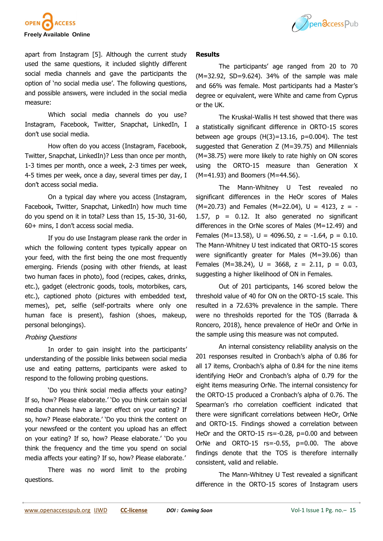



apart from Instagram [5]. Although the current study used the same questions, it included slightly different social media channels and gave the participants the option of 'no social media use'. The following questions, and possible answers, were included in the social media measure:

Which social media channels do you use? Instagram, Facebook, Twitter, Snapchat, LinkedIn, I don't use social media.

How often do you access (Instagram, Facebook, Twitter, Snapchat, LinkedIn)? Less than once per month, 1-3 times per month, once a week, 2-3 times per week, 4-5 times per week, once a day, several times per day, I don't access social media.

On a typical day where you access (Instagram, Facebook, Twitter, Snapchat, LinkedIn) how much time do you spend on it in total? Less than 15, 15-30, 31-60, 60+ mins, I don't access social media.

If you do use Instagram please rank the order in which the following content types typically appear on your feed, with the first being the one most frequently emerging. Friends (posing with other friends, at least two human faces in photo), food (recipes, cakes, drinks, etc.), gadget (electronic goods, tools, motorbikes, cars, etc.), captioned photo (pictures with embedded text, memes), pet, selfie (self-portraits where only one human face is present), fashion (shoes, makeup, personal belongings).

## Probing Questions

In order to gain insight into the participants' understanding of the possible links between social media use and eating patterns, participants were asked to respond to the following probing questions.

'Do you think social media affects your eating? If so, how? Please elaborate.' 'Do you think certain social media channels have a larger effect on your eating? If so, how? Please elaborate.' 'Do you think the content on your newsfeed or the content you upload has an effect on your eating? If so, how? Please elaborate.' 'Do you think the frequency and the time you spend on social media affects your eating? If so, how? Please elaborate.'

There was no word limit to the probing questions.

#### **Results**

The participants' age ranged from 20 to 70 (M=32.92, SD=9.624). 34% of the sample was male and 66% was female. Most participants had a Master's degree or equivalent, were White and came from Cyprus or the UK.

The Kruskal-Wallis H test showed that there was a statistically significant difference in ORTO-15 scores between age groups  $(H(3)=13.16, p=0.004)$ . The test suggested that Generation Z (M=39.75) and Millennials (M=38.75) were more likely to rate highly on ON scores using the ORTO-15 measure than Generation X (M=41.93) and Boomers (M=44.56).

The Mann-Whitney U Test revealed no significant differences in the HeOr scores of Males  $(M=20.73)$  and Females  $(M=22.04)$ ,  $U = 4123$ ,  $z = -1$ 1.57,  $p = 0.12$ . It also generated no significant differences in the OrNe scores of Males (M=12.49) and Females (M=13.58),  $U = 4096.50$ ,  $z = -1.64$ ,  $p = 0.10$ . The Mann-Whitney U test indicated that ORTO-15 scores were significantly greater for Males (M=39.06) than Females (M=38.24),  $U = 3668$ ,  $z = 2.11$ ,  $p = 0.03$ , suggesting a higher likelihood of ON in Females.

Out of 201 participants, 146 scored below the threshold value of 40 for ON on the ORTO-15 scale. This resulted in a 72.63% prevalence in the sample. There were no thresholds reported for the TOS (Barrada & Roncero, 2018), hence prevalence of HeOr and OrNe in the sample using this measure was not computed.

An internal consistency reliability analysis on the 201 responses resulted in Cronbach's alpha of 0.86 for all 17 items, Cronbach's alpha of 0.84 for the nine items identifying HeOr and Cronbach's alpha of 0.79 for the eight items measuring OrNe. The internal consistency for the ORTO-15 produced a Cronbach's alpha of 0.76. The Spearman's rho correlation coefficient indicated that there were significant correlations between HeOr, OrNe and ORTO-15. Findings showed a correlation between HeOr and the ORTO-15 rs=-0.28, p=0.00 and between OrNe and ORTO-15 rs=-0.55, p=0.00. The above findings denote that the TOS is therefore internally consistent, valid and reliable.

The Mann-Whitney U Test revealed a significant difference in the ORTO-15 scores of Instagram users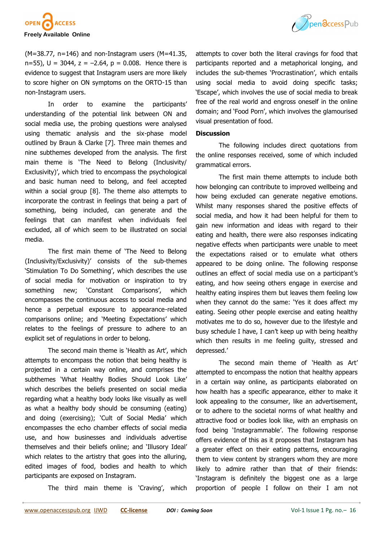



 $(M=38.77, n=146)$  and non-Instagram users  $(M=41.35,$ n=55),  $U = 3044$ ,  $z = -2.64$ ,  $p = 0.008$ . Hence there is evidence to suggest that Instagram users are more likely to score higher on ON symptoms on the ORTO-15 than non-Instagram users.

In order to examine the participants' understanding of the potential link between ON and social media use, the probing questions were analysed using thematic analysis and the six-phase model outlined by Braun & Clarke [7]. Three main themes and nine subthemes developed from the analysis. The first main theme is 'The Need to Belong (Inclusivity/ Exclusivity)', which tried to encompass the psychological and basic human need to belong, and feel accepted within a social group [8]. The theme also attempts to incorporate the contrast in feelings that being a part of something, being included, can generate and the feelings that can manifest when individuals feel excluded, all of which seem to be illustrated on social media.

The first main theme of 'The Need to Belong (Inclusivity/Exclusivity)' consists of the sub-themes 'Stimulation To Do Something', which describes the use of social media for motivation or inspiration to try something new; 'Constant Comparisons', which encompasses the continuous access to social media and hence a perpetual exposure to appearance-related comparisons online; and 'Meeting Expectations' which relates to the feelings of pressure to adhere to an explicit set of regulations in order to belong.

The second main theme is 'Health as Art', which attempts to encompass the notion that being healthy is projected in a certain way online, and comprises the subthemes 'What Healthy Bodies Should Look Like' which describes the beliefs presented on social media regarding what a healthy body looks like visually as well as what a healthy body should be consuming (eating) and doing (exercising); 'Cult of Social Media' which encompasses the echo chamber effects of social media use, and how businesses and individuals advertise themselves and their beliefs online; and 'Illusory Ideal' which relates to the artistry that goes into the alluring, edited images of food, bodies and health to which participants are exposed on Instagram.

The third main theme is 'Craving', which

attempts to cover both the literal cravings for food that participants reported and a metaphorical longing, and includes the sub-themes 'Procrastination', which entails using social media to avoid doing specific tasks; 'Escape', which involves the use of social media to break free of the real world and engross oneself in the online domain; and 'Food Porn', which involves the glamourised visual presentation of food.

#### **Discussion**

The following includes direct quotations from the online responses received, some of which included grammatical errors.

The first main theme attempts to include both how belonging can contribute to improved wellbeing and how being excluded can generate negative emotions. Whilst many responses shared the positive effects of social media, and how it had been helpful for them to gain new information and ideas with regard to their eating and health, there were also responses indicating negative effects when participants were unable to meet the expectations raised or to emulate what others appeared to be doing online. The following response outlines an effect of social media use on a participant's eating, and how seeing others engage in exercise and healthy eating inspires them but leaves them feeling low when they cannot do the same: 'Yes it does affect my eating. Seeing other people exercise and eating healthy motivates me to do so, however due to the lifestyle and busy schedule I have, I can't keep up with being healthy which then results in me feeling guilty, stressed and depressed.'

The second main theme of 'Health as Art' attempted to encompass the notion that healthy appears in a certain way online, as participants elaborated on how health has a specific appearance, either to make it look appealing to the consumer, like an advertisement, or to adhere to the societal norms of what healthy and attractive food or bodies look like, with an emphasis on food being 'Instagrammable'. The following response offers evidence of this as it proposes that Instagram has a greater effect on their eating patterns, encouraging them to view content by strangers whom they are more likely to admire rather than that of their friends: 'Instagram is definitely the biggest one as a large proportion of people I follow on their I am not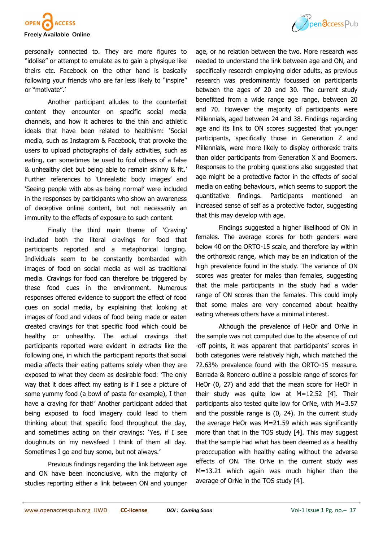

personally connected to. They are more figures to "idolise" or attempt to emulate as to gain a physique like theirs etc. Facebook on the other hand is basically following your friends who are far less likely to "inspire" or "motivate".'

Another participant alludes to the counterfeit content they encounter on specific social media channels, and how it adheres to the thin and athletic ideals that have been related to healthism: 'Social media, such as Instagram & Facebook, that provoke the users to upload photographs of daily activities, such as eating, can sometimes be used to fool others of a false & unhealthy diet but being able to remain skinny & fit.' Further references to 'Unrealistic body images' and 'Seeing people with abs as being normal' were included in the responses by participants who show an awareness of deceptive online content, but not necessarily an immunity to the effects of exposure to such content.

Finally the third main theme of 'Craving' included both the literal cravings for food that participants reported and a metaphorical longing. Individuals seem to be constantly bombarded with images of food on social media as well as traditional media. Cravings for food can therefore be triggered by these food cues in the environment. Numerous responses offered evidence to support the effect of food cues on social media, by explaining that looking at images of food and videos of food being made or eaten created cravings for that specific food which could be healthy or unhealthy. The actual cravings that participants reported were evident in extracts like the following one, in which the participant reports that social media affects their eating patterns solely when they are exposed to what they deem as desirable food: 'The only way that it does affect my eating is if I see a picture of some yummy food (a bowl of pasta for example), I then have a craving for that!' Another participant added that being exposed to food imagery could lead to them thinking about that specific food throughout the day, and sometimes acting on their cravings: 'Yes, if I see doughnuts on my newsfeed I think of them all day. Sometimes I go and buy some, but not always.'

Previous findings regarding the link between age and ON have been inconclusive, with the majority of studies reporting either a link between ON and younger age, or no relation between the two. More research was needed to understand the link between age and ON, and specifically research employing older adults, as previous research was predominantly focussed on participants between the ages of 20 and 30. The current study benefitted from a wide range age range, between 20 and 70. However the majority of participants were Millennials, aged between 24 and 38. Findings regarding age and its link to ON scores suggested that younger participants, specifically those in Generation Z and Millennials, were more likely to display orthorexic traits than older participants from Generation X and Boomers. Responses to the probing questions also suggested that age might be a protective factor in the effects of social media on eating behaviours, which seems to support the quantitative findings. Participants mentioned an increased sense of self as a protective factor, suggesting that this may develop with age.

Findings suggested a higher likelihood of ON in females. The average scores for both genders were below 40 on the ORTO-15 scale, and therefore lay within the orthorexic range, which may be an indication of the high prevalence found in the study. The variance of ON scores was greater for males than females, suggesting that the male participants in the study had a wider range of ON scores than the females. This could imply that some males are very concerned about healthy eating whereas others have a minimal interest.

Although the prevalence of HeOr and OrNe in the sample was not computed due to the absence of cut -off points, it was apparent that participants' scores in both categories were relatively high, which matched the 72.63% prevalence found with the ORTO-15 measure. Barrada & Roncero outline a possible range of scores for HeOr (0, 27) and add that the mean score for HeOr in their study was quite low at M=12.52 [4]. Their participants also tested quite low for OrNe, with M=3.57 and the possible range is (0, 24). In the current study the average HeOr was M=21.59 which was significantly more than that in the TOS study [4]. This may suggest that the sample had what has been deemed as a healthy preoccupation with healthy eating without the adverse effects of ON. The OrNe in the current study was M=13.21 which again was much higher than the average of OrNe in the TOS study [4].

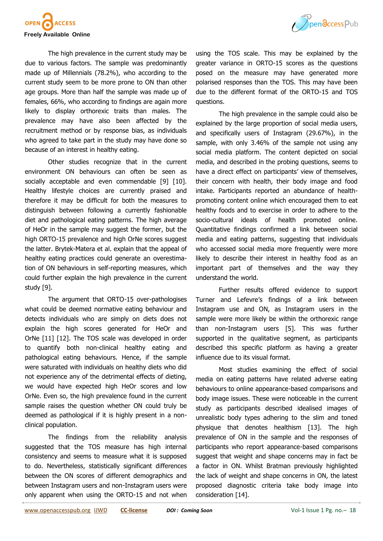



The high prevalence in the current study may be due to various factors. The sample was predominantly made up of Millennials (78.2%), who according to the current study seem to be more prone to ON than other age groups. More than half the sample was made up of females, 66%, who according to findings are again more likely to display orthorexic traits than males. The prevalence may have also been affected by the recruitment method or by response bias, as individuals who agreed to take part in the study may have done so because of an interest in healthy eating.

Other studies recognize that in the current environment ON behaviours can often be seen as socially acceptable and even commendable [9] [10]. Healthy lifestyle choices are currently praised and therefore it may be difficult for both the measures to distinguish between following a currently fashionable diet and pathological eating patterns. The high average of HeOr in the sample may suggest the former, but the high ORTO-15 prevalence and high OrNe scores suggest the latter. Brytek-Matera et al. explain that the appeal of healthy eating practices could generate an overestimation of ON behaviours in self-reporting measures, which could further explain the high prevalence in the current study [9].

The argument that ORTO-15 over-pathologises what could be deemed normative eating behaviour and detects individuals who are simply on diets does not explain the high scores generated for HeOr and OrNe [11] [12]. The TOS scale was developed in order to quantify both non-clinical healthy eating and pathological eating behaviours. Hence, if the sample were saturated with individuals on healthy diets who did not experience any of the detrimental effects of dieting, we would have expected high HeOr scores and low OrNe. Even so, the high prevalence found in the current sample raises the question whether ON could truly be deemed as pathological if it is highly present in a nonclinical population.

The findings from the reliability analysis suggested that the TOS measure has high internal consistency and seems to measure what it is supposed to do. Nevertheless, statistically significant differences between the ON scores of different demographics and between Instagram users and non-Instagram users were only apparent when using the ORTO-15 and not when

using the TOS scale. This may be explained by the greater variance in ORTO-15 scores as the questions posed on the measure may have generated more polarised responses than the TOS. This may have been due to the different format of the ORTO-15 and TOS questions.

The high prevalence in the sample could also be explained by the large proportion of social media users, and specifically users of Instagram (29.67%), in the sample, with only 3.46% of the sample not using any social media platform. The content depicted on social media, and described in the probing questions, seems to have a direct effect on participants' view of themselves, their concern with health, their body image and food intake. Participants reported an abundance of healthpromoting content online which encouraged them to eat healthy foods and to exercise in order to adhere to the socio-cultural ideals of health promoted online. Quantitative findings confirmed a link between social media and eating patterns, suggesting that individuals who accessed social media more frequently were more likely to describe their interest in healthy food as an important part of themselves and the way they understand the world.

Further results offered evidence to support Turner and Lefevre's findings of a link between Instagram use and ON, as Instagram users in the sample were more likely be within the orthorexic range than non-Instagram users [5]. This was further supported in the qualitative segment, as participants described this specific platform as having a greater influence due to its visual format.

Most studies examining the effect of social media on eating patterns have related adverse eating behaviours to online appearance-based comparisons and body image issues. These were noticeable in the current study as participants described idealised images of unrealistic body types adhering to the slim and toned physique that denotes healthism [13]. The high prevalence of ON in the sample and the responses of participants who report appearance-based comparisons suggest that weight and shape concerns may in fact be a factor in ON. Whilst Bratman previously highlighted the lack of weight and shape concerns in ON, the latest proposed diagnostic criteria take body image into consideration [14].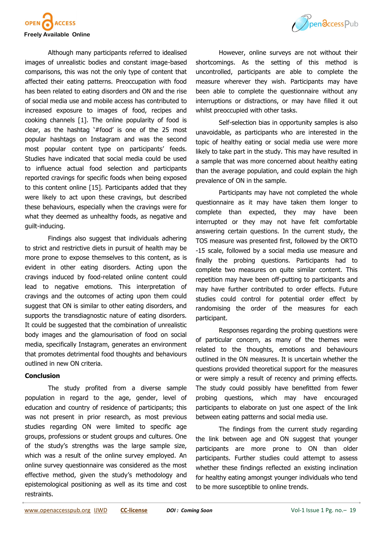

Although many participants referred to idealised images of unrealistic bodies and constant image-based comparisons, this was not the only type of content that affected their eating patterns. Preoccupation with food has been related to eating disorders and ON and the rise of social media use and mobile access has contributed to increased exposure to images of food, recipes and cooking channels [1]. The online popularity of food is clear, as the hashtag '#food' is one of the 25 most popular hashtags on Instagram and was the second most popular content type on participants' feeds. Studies have indicated that social media could be used to influence actual food selection and participants reported cravings for specific foods when being exposed to this content online [15]. Participants added that they were likely to act upon these cravings, but described these behaviours, especially when the cravings were for what they deemed as unhealthy foods, as negative and guilt-inducing.

Findings also suggest that individuals adhering to strict and restrictive diets in pursuit of health may be more prone to expose themselves to this content, as is evident in other eating disorders. Acting upon the cravings induced by food-related online content could lead to negative emotions. This interpretation of cravings and the outcomes of acting upon them could suggest that ON is similar to other eating disorders, and supports the transdiagnostic nature of eating disorders. It could be suggested that the combination of unrealistic body images and the glamourisation of food on social media, specifically Instagram, generates an environment that promotes detrimental food thoughts and behaviours outlined in new ON criteria.

### **Conclusion**

The study profited from a diverse sample population in regard to the age, gender, level of education and country of residence of participants; this was not present in prior research, as most previous studies regarding ON were limited to specific age groups, professions or student groups and cultures. One of the study's strengths was the large sample size, which was a result of the online survey employed. An online survey questionnaire was considered as the most effective method, given the study's methodology and epistemological positioning as well as its time and cost restraints.



However, online surveys are not without their shortcomings. As the setting of this method is uncontrolled, participants are able to complete the measure wherever they wish. Participants may have been able to complete the questionnaire without any interruptions or distractions, or may have filled it out whilst preoccupied with other tasks.

Self-selection bias in opportunity samples is also unavoidable, as participants who are interested in the topic of healthy eating or social media use were more likely to take part in the study. This may have resulted in a sample that was more concerned about healthy eating than the average population, and could explain the high prevalence of ON in the sample.

Participants may have not completed the whole questionnaire as it may have taken them longer to complete than expected, they may have been interrupted or they may not have felt comfortable answering certain questions. In the current study, the TOS measure was presented first, followed by the ORTO -15 scale, followed by a social media use measure and finally the probing questions. Participants had to complete two measures on quite similar content. This repetition may have been off-putting to participants and may have further contributed to order effects. Future studies could control for potential order effect by randomising the order of the measures for each participant.

Responses regarding the probing questions were of particular concern, as many of the themes were related to the thoughts, emotions and behaviours outlined in the ON measures. It is uncertain whether the questions provided theoretical support for the measures or were simply a result of recency and priming effects. The study could possibly have benefitted from fewer probing questions, which may have encouraged participants to elaborate on just one aspect of the link between eating patterns and social media use.

The findings from the current study regarding the link between age and ON suggest that younger participants are more prone to ON than older participants. Further studies could attempt to assess whether these findings reflected an existing inclination for healthy eating amongst younger individuals who tend to be more susceptible to online trends.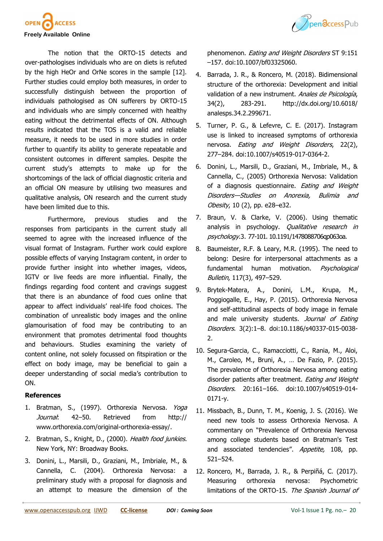



The notion that the ORTO-15 detects and over-pathologises individuals who are on diets is refuted by the high HeOr and OrNe scores in the sample [12]. Further studies could employ both measures, in order to successfully distinguish between the proportion of individuals pathologised as ON sufferers by ORTO-15 and individuals who are simply concerned with healthy eating without the detrimental effects of ON. Although results indicated that the TOS is a valid and reliable measure, it needs to be used in more studies in order further to quantify its ability to generate repeatable and consistent outcomes in different samples. Despite the current study's attempts to make up for the shortcomings of the lack of official diagnostic criteria and an official ON measure by utilising two measures and qualitative analysis, ON research and the current study have been limited due to this.

Furthermore, previous studies and the responses from participants in the current study all seemed to agree with the increased influence of the visual format of Instagram. Further work could explore possible effects of varying Instagram content, in order to provide further insight into whether images, videos, IGTV or live feeds are more influential. Finally, the findings regarding food content and cravings suggest that there is an abundance of food cues online that appear to affect individuals' real-life food choices. The combination of unrealistic body images and the online glamourisation of food may be contributing to an environment that promotes detrimental food thoughts and behaviours. Studies examining the variety of content online, not solely focussed on fitspiration or the effect on body image, may be beneficial to gain a deeper understanding of social media's contribution to ON.

## **References**

- 1. Bratman, S., (1997). Orthorexia Nervosa. Yoga Journal: 42–50. Retrieved from http:// www.orthorexia.com/original-orthorexia-essay/.
- 2. Bratman, S., Knight, D., (2000). Health food junkies. New York, NY: Broadway Books.
- 3. Donini, L., Marsili, D., Graziani, M., Imbriale, M., & Cannella, C. (2004). Orthorexia Nervosa: a preliminary study with a proposal for diagnosis and an attempt to measure the dimension of the

phenomenon. Eating and Weight Disorders ST 9:151 –157. doi:10.1007/bf03325060.

- 4. Barrada, J. R., & Roncero, M. (2018). Bidimensional structure of the orthorexia: Development and initial validation of a new instrument. Anales de Psicología, 34(2), 283-291. [http://dx.doi.org/10.6018/](http://dx.doi.org/10.6018/analesps.34.2.299671) [analesps.34.2.299671.](http://dx.doi.org/10.6018/analesps.34.2.299671)
- 5. Turner, P. G., & Lefevre, C. E. (2017). Instagram use is linked to increased symptoms of orthorexia nervosa. Eating and Weight Disorders, 22(2), 277–284. doi:10.1007/s40519-017-0364-2.
- 6. Donini, L., Marsili, D., Graziani, M., Imbriale, M., & Cannella, C., (2005) Orthorexia Nervosa: Validation of a diagnosis questionnaire. Eating and Weight Disorders—Studies on Anorexia, Bulimia and Obesity, 10 (2), pp. e28–e32.
- 7. Braun, V. & Clarke, V. (2006). Using thematic analysis in psychology. Qualitative research in psychology.3. 77-101. 10.1191/1478088706qp063oa.
- 8. Baumeister, R.F. & Leary, M.R. (1995). The need to belong: Desire for interpersonal attachments as a fundamental human motivation. Psychological Bulletin, 117(3), 497–529.
- 9. Brytek-Matera, A., Donini, L.M., Krupa, M., Poggiogalle, E., Hay, P. (2015). Orthorexia Nervosa and self-attitudinal aspects of body image in female and male university students. Journal of Eating Disorders. 3(2):1–8. doi:10.1186/s40337-015-0038- 2.
- 10. Segura-Garcia, C., Ramacciotti, C., Rania, M., Aloi, M., Caroleo, M., Bruni, A., … De Fazio, P. (2015). The prevalence of Orthorexia Nervosa among eating disorder patients after treatment. Eating and Weight Disorders. 20:161–166. doi:10.1007/s40519-014- 0171-y.
- 11. Missbach, B., Dunn, T. M., Koenig, J. S. (2016). We need new tools to assess Orthorexia Nervosa. A commentary on "Prevalence of Orthorexia Nervosa among college students based on Bratman's Test and associated tendencies". Appetite, 108, pp. 521–524.
- 12. Roncero, M., Barrada, J. R., & Perpiñá, C. (2017). Measuring orthorexia nervosa: Psychometric limitations of the ORTO-15. The Spanish Journal of